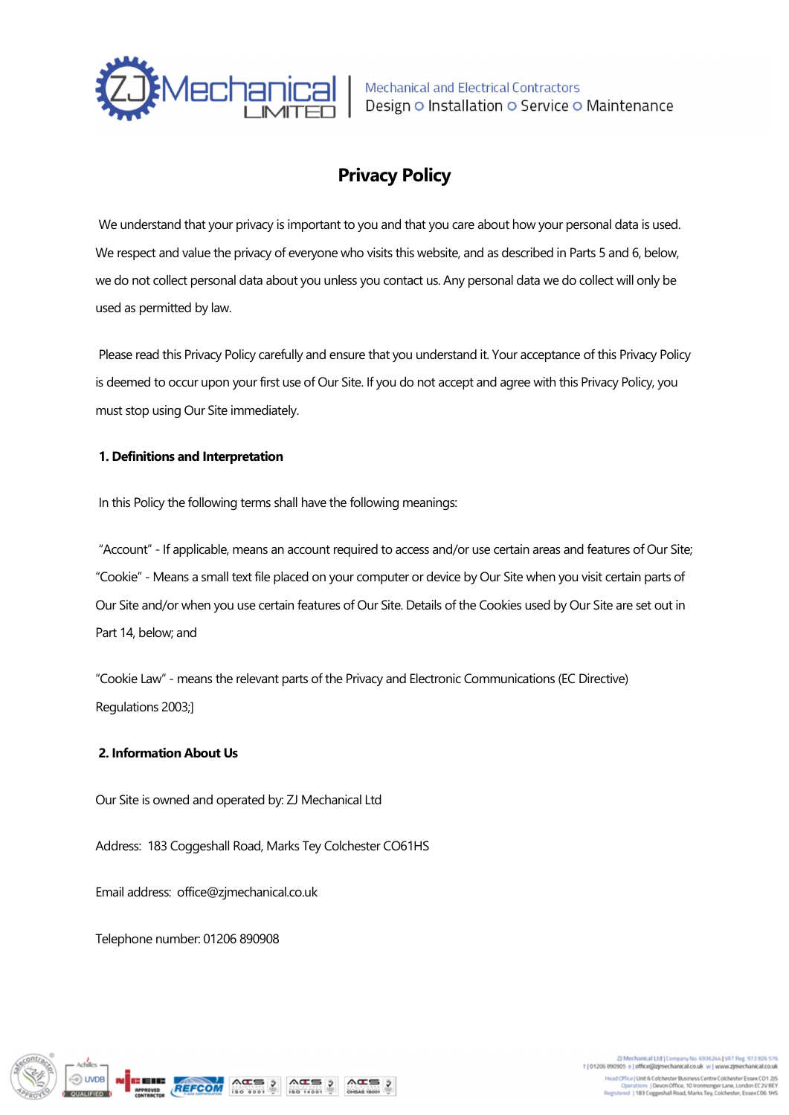

# Privacy Policy

 We understand that your privacy is important to you and that you care about how your personal data is used. We respect and value the privacy of everyone who visits this website, and as described in Parts 5 and 6, below, we do not collect personal data about you unless you contact us. Any personal data we do collect will only be used as permitted by law.

 Please read this Privacy Policy carefully and ensure that you understand it. Your acceptance of this Privacy Policy is deemed to occur upon your first use of Our Site. If you do not accept and agree with this Privacy Policy, you must stop using Our Site immediately.

# 1. Definitions and Interpretation

In this Policy the following terms shall have the following meanings:

 "Account" - If applicable, means an account required to access and/or use certain areas and features of Our Site; "Cookie" - Means a small text file placed on your computer or device by Our Site when you visit certain parts of Our Site and/or when you use certain features of Our Site. Details of the Cookies used by Our Site are set out in Part 14, below; and

"Cookie Law" - means the relevant parts of the Privacy and Electronic Communications (EC Directive) Regulations 2003;]

# 2. Information About Us

Our Site is owned and operated by: ZJ Mechanical Ltd

Address: 183 Coggeshall Road, Marks Tey Colchester CO61HS

Email address: office@zjmechanical.co.uk

Telephone number: 01206 890908



2) Mechanical Ltd | Company No. 6936244 | VAT Reg. 973 826 576<br>1) 01206 890905 e | office@zjmechanical.co.uk w | www.zjmechanical.co.uk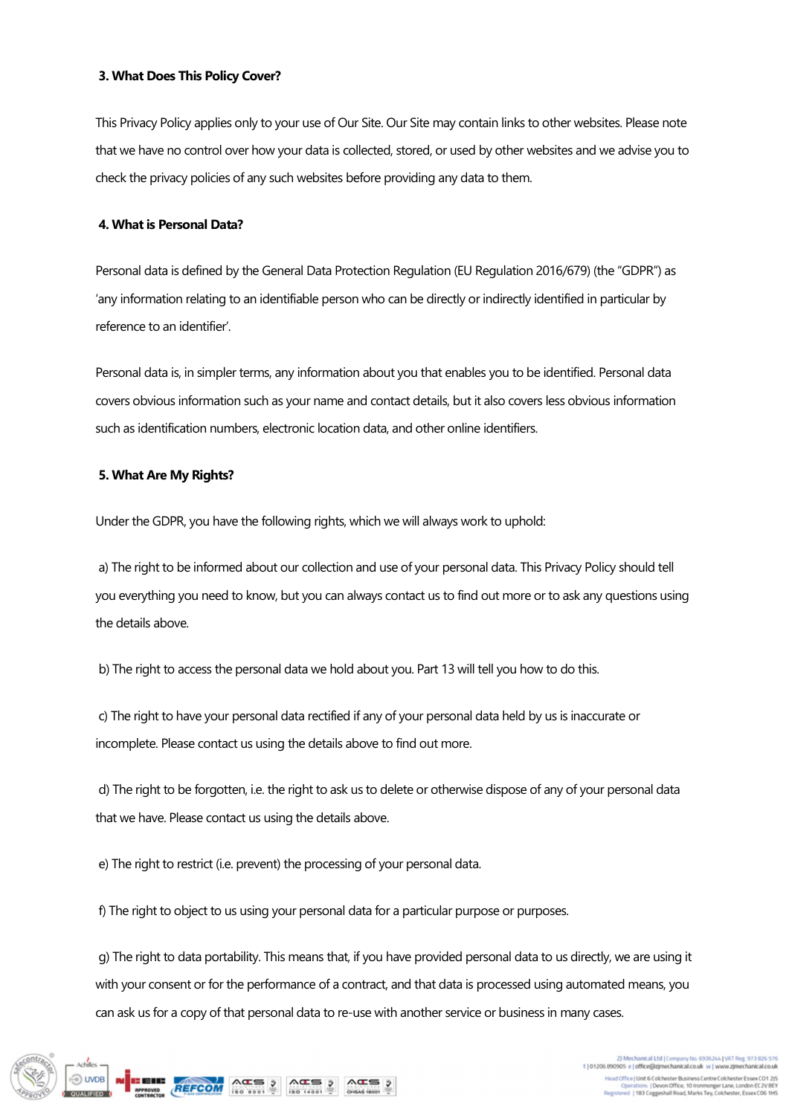#### 3. What Does This Policy Cover?

This Privacy Policy applies only to your use of Our Site. Our Site may contain links to other websites. Please note that we have no control over how your data is collected, stored, or used by other websites and we advise you to check the privacy policies of any such websites before providing any data to them.

# 4. What is Personal Data?

Personal data is defined by the General Data Protection Regulation (EU Regulation 2016/679) (the "GDPR") as 'any information relating to an identifiable person who can be directly or indirectly identified in particular by reference to an identifier'.

Personal data is, in simpler terms, any information about you that enables you to be identified. Personal data covers obvious information such as your name and contact details, but it also covers less obvious information such as identification numbers, electronic location data, and other online identifiers.

## 5. What Are My Rights?

Under the GDPR, you have the following rights, which we will always work to uphold:

 a) The right to be informed about our collection and use of your personal data. This Privacy Policy should tell you everything you need to know, but you can always contact us to find out more or to ask any questions using the details above.

b) The right to access the personal data we hold about you. Part 13 will tell you how to do this.

 c) The right to have your personal data rectified if any of your personal data held by us is inaccurate or incomplete. Please contact us using the details above to find out more.

 d) The right to be forgotten, i.e. the right to ask us to delete or otherwise dispose of any of your personal data that we have. Please contact us using the details above.

e) The right to restrict (i.e. prevent) the processing of your personal data.

f) The right to object to us using your personal data for a particular purpose or purposes.

 g) The right to data portability. This means that, if you have provided personal data to us directly, we are using it with your consent or for the performance of a contract, and that data is processed using automated means, you can ask us for a copy of that personal data to re-use with another service or business in many cases.

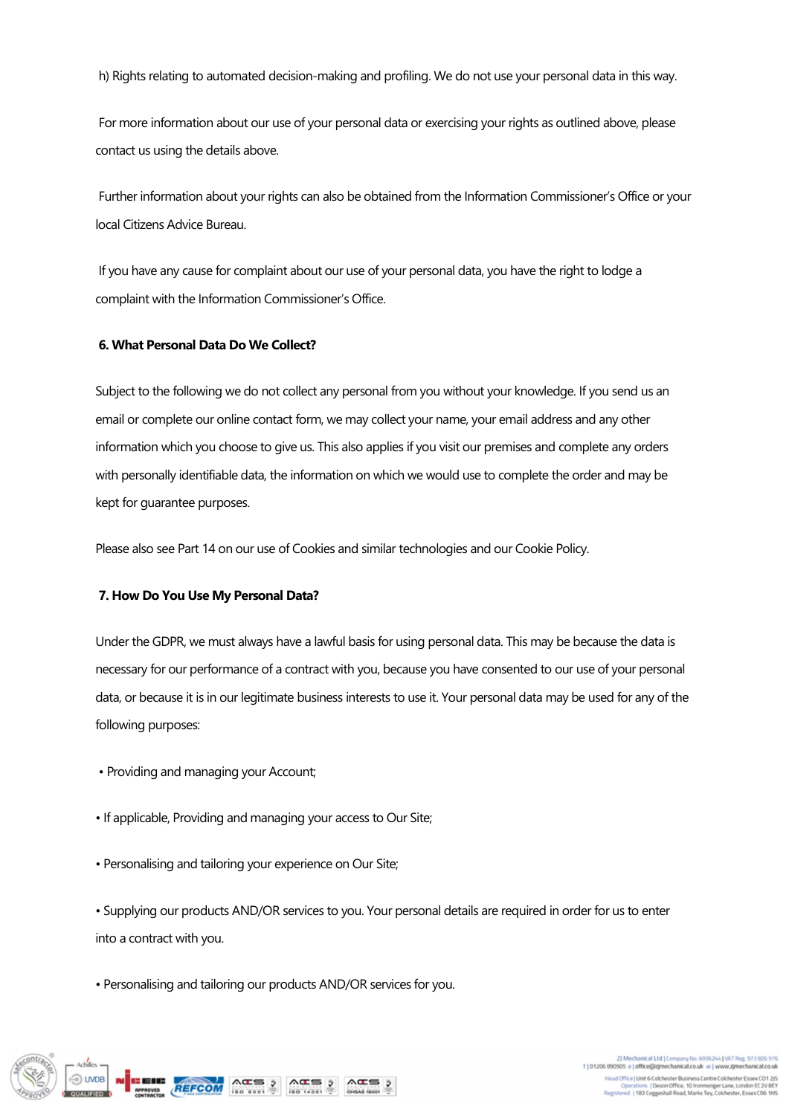h) Rights relating to automated decision-making and profiling. We do not use your personal data in this way.

 For more information about our use of your personal data or exercising your rights as outlined above, please contact us using the details above.

 Further information about your rights can also be obtained from the Information Commissioner's Office or your local Citizens Advice Bureau.

 If you have any cause for complaint about our use of your personal data, you have the right to lodge a complaint with the Information Commissioner's Office.

#### 6. What Personal Data Do We Collect?

Subject to the following we do not collect any personal from you without your knowledge. If you send us an email or complete our online contact form, we may collect your name, your email address and any other information which you choose to give us. This also applies if you visit our premises and complete any orders with personally identifiable data, the information on which we would use to complete the order and may be kept for guarantee purposes.

Please also see Part 14 on our use of Cookies and similar technologies and our Cookie Policy.

#### 7. How Do You Use My Personal Data?

Under the GDPR, we must always have a lawful basis for using personal data. This may be because the data is necessary for our performance of a contract with you, because you have consented to our use of your personal data, or because it is in our legitimate business interests to use it. Your personal data may be used for any of the following purposes:

- Providing and managing your Account;
- If applicable, Providing and managing your access to Our Site;
- Personalising and tailoring your experience on Our Site;

• Supplying our products AND/OR services to you. Your personal details are required in order for us to enter into a contract with you.

• Personalising and tailoring our products AND/OR services for you.



2) Mechanical Ltd | Company No. 6936244 | VAT Reg. 973 826 576<br>1) 01206 890905 e | office@zjmechanical.co.uk w | www.zjmechanical.co.uk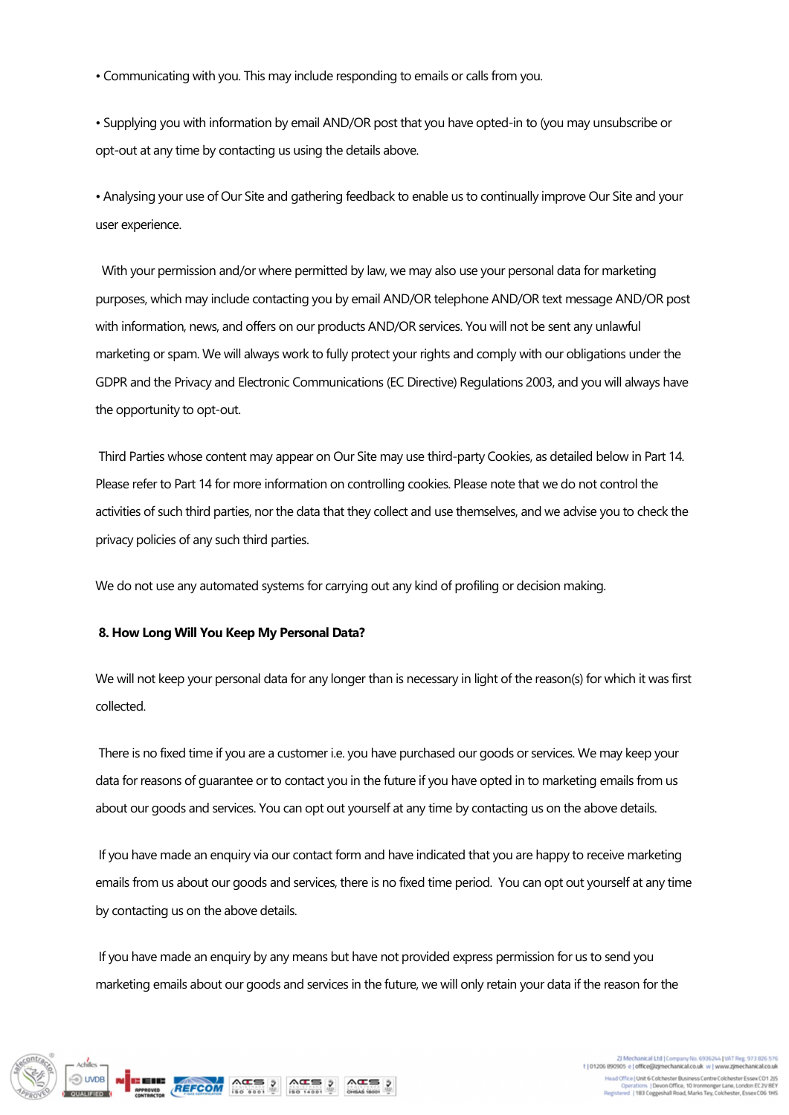• Communicating with you. This may include responding to emails or calls from you.

• Supplying you with information by email AND/OR post that you have opted-in to (you may unsubscribe or opt-out at any time by contacting us using the details above.

• Analysing your use of Our Site and gathering feedback to enable us to continually improve Our Site and your user experience.

With your permission and/or where permitted by law, we may also use your personal data for marketing purposes, which may include contacting you by email AND/OR telephone AND/OR text message AND/OR post with information, news, and offers on our products AND/OR services. You will not be sent any unlawful marketing or spam. We will always work to fully protect your rights and comply with our obligations under the GDPR and the Privacy and Electronic Communications (EC Directive) Regulations 2003, and you will always have the opportunity to opt-out.

 Third Parties whose content may appear on Our Site may use third-party Cookies, as detailed below in Part 14. Please refer to Part 14 for more information on controlling cookies. Please note that we do not control the activities of such third parties, nor the data that they collect and use themselves, and we advise you to check the privacy policies of any such third parties.

We do not use any automated systems for carrying out any kind of profiling or decision making.

#### 8. How Long Will You Keep My Personal Data?

We will not keep your personal data for any longer than is necessary in light of the reason(s) for which it was first collected.

 There is no fixed time if you are a customer i.e. you have purchased our goods or services. We may keep your data for reasons of guarantee or to contact you in the future if you have opted in to marketing emails from us about our goods and services. You can opt out yourself at any time by contacting us on the above details.

 If you have made an enquiry via our contact form and have indicated that you are happy to receive marketing emails from us about our goods and services, there is no fixed time period. You can opt out yourself at any time by contacting us on the above details.

 If you have made an enquiry by any means but have not provided express permission for us to send you marketing emails about our goods and services in the future, we will only retain your data if the reason for the

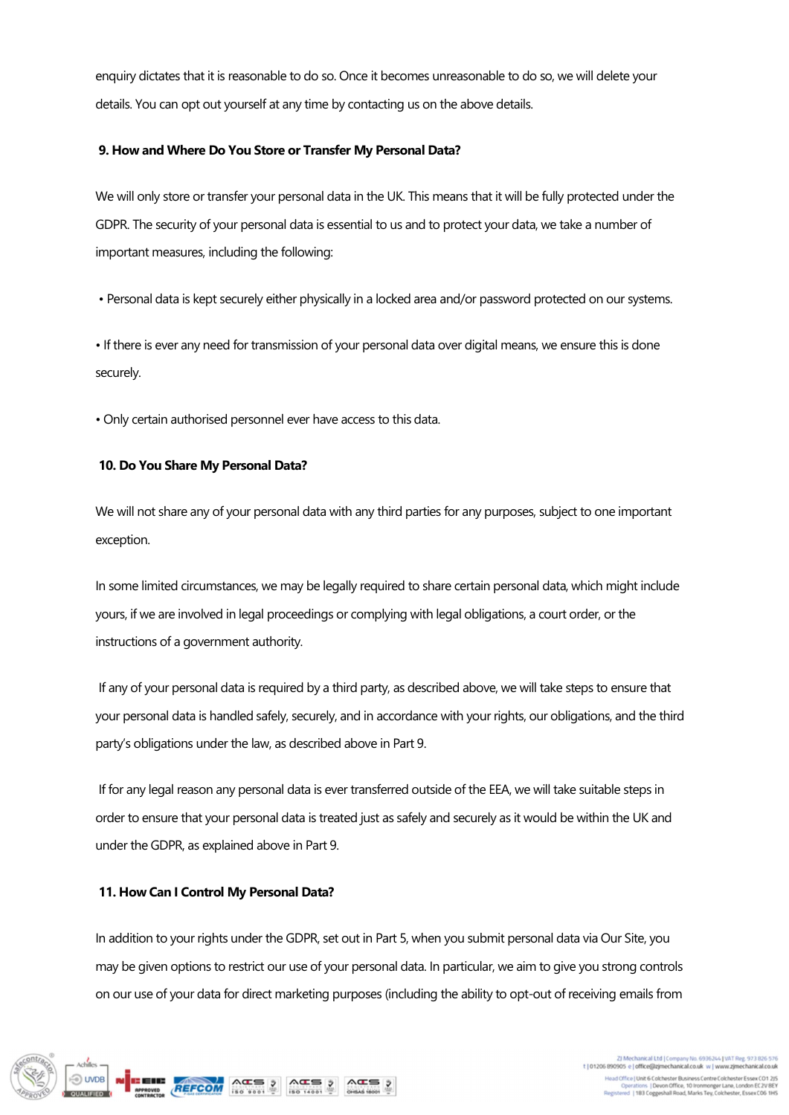enquiry dictates that it is reasonable to do so. Once it becomes unreasonable to do so, we will delete your details. You can opt out yourself at any time by contacting us on the above details.

## 9. How and Where Do You Store or Transfer My Personal Data?

We will only store or transfer your personal data in the UK. This means that it will be fully protected under the GDPR. The security of your personal data is essential to us and to protect your data, we take a number of important measures, including the following:

• Personal data is kept securely either physically in a locked area and/or password protected on our systems.

• If there is ever any need for transmission of your personal data over digital means, we ensure this is done securely.

• Only certain authorised personnel ever have access to this data.

## 10. Do You Share My Personal Data?

We will not share any of your personal data with any third parties for any purposes, subject to one important exception.

In some limited circumstances, we may be legally required to share certain personal data, which might include yours, if we are involved in legal proceedings or complying with legal obligations, a court order, or the instructions of a government authority.

 If any of your personal data is required by a third party, as described above, we will take steps to ensure that your personal data is handled safely, securely, and in accordance with your rights, our obligations, and the third party's obligations under the law, as described above in Part 9.

 If for any legal reason any personal data is ever transferred outside of the EEA, we will take suitable steps in order to ensure that your personal data is treated just as safely and securely as it would be within the UK and under the GDPR, as explained above in Part 9.

# 11. How Can I Control My Personal Data?

In addition to your rights under the GDPR, set out in Part 5, when you submit personal data via Our Site, you may be given options to restrict our use of your personal data. In particular, we aim to give you strong controls on our use of your data for direct marketing purposes (including the ability to opt-out of receiving emails from

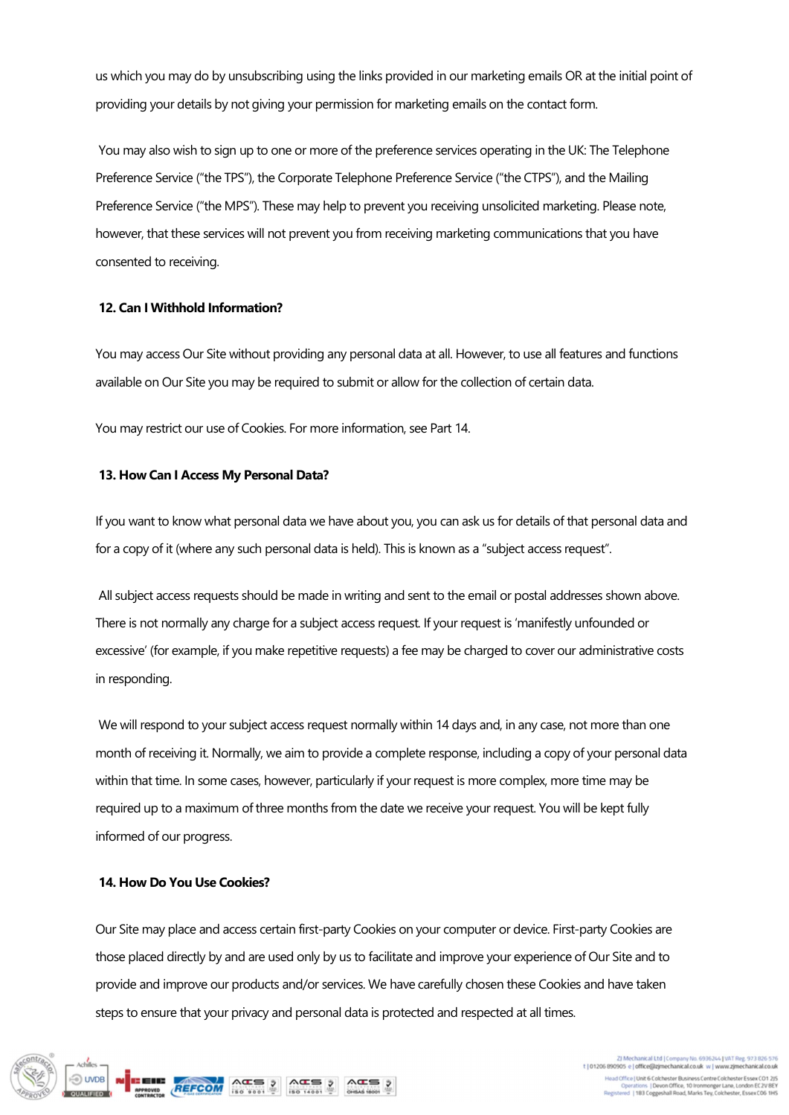us which you may do by unsubscribing using the links provided in our marketing emails OR at the initial point of providing your details by not giving your permission for marketing emails on the contact form.

 You may also wish to sign up to one or more of the preference services operating in the UK: The Telephone Preference Service ("the TPS"), the Corporate Telephone Preference Service ("the CTPS"), and the Mailing Preference Service ("the MPS"). These may help to prevent you receiving unsolicited marketing. Please note, however, that these services will not prevent you from receiving marketing communications that you have consented to receiving.

## 12. Can I Withhold Information?

You may access Our Site without providing any personal data at all. However, to use all features and functions available on Our Site you may be required to submit or allow for the collection of certain data.

You may restrict our use of Cookies. For more information, see Part 14.

## 13. How Can I Access My Personal Data?

If you want to know what personal data we have about you, you can ask us for details of that personal data and for a copy of it (where any such personal data is held). This is known as a "subject access request".

 All subject access requests should be made in writing and sent to the email or postal addresses shown above. There is not normally any charge for a subject access request. If your request is 'manifestly unfounded or excessive' (for example, if you make repetitive requests) a fee may be charged to cover our administrative costs in responding.

We will respond to your subject access request normally within 14 days and, in any case, not more than one month of receiving it. Normally, we aim to provide a complete response, including a copy of your personal data within that time. In some cases, however, particularly if your request is more complex, more time may be required up to a maximum of three months from the date we receive your request. You will be kept fully informed of our progress.

# 14. How Do You Use Cookies?

Our Site may place and access certain first-party Cookies on your computer or device. First-party Cookies are those placed directly by and are used only by us to facilitate and improve your experience of Our Site and to provide and improve our products and/or services. We have carefully chosen these Cookies and have taken steps to ensure that your privacy and personal data is protected and respected at all times.

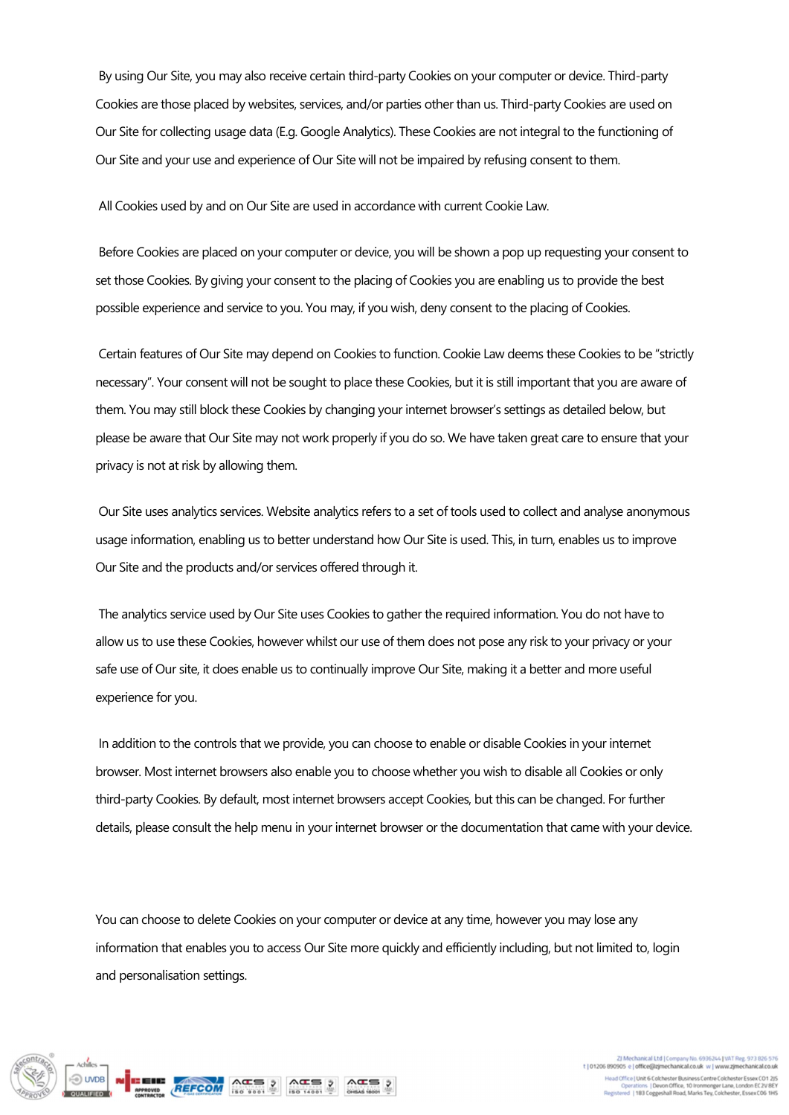By using Our Site, you may also receive certain third-party Cookies on your computer or device. Third-party Cookies are those placed by websites, services, and/or parties other than us. Third-party Cookies are used on Our Site for collecting usage data (E.g. Google Analytics). These Cookies are not integral to the functioning of Our Site and your use and experience of Our Site will not be impaired by refusing consent to them.

All Cookies used by and on Our Site are used in accordance with current Cookie Law.

 Before Cookies are placed on your computer or device, you will be shown a pop up requesting your consent to set those Cookies. By giving your consent to the placing of Cookies you are enabling us to provide the best possible experience and service to you. You may, if you wish, deny consent to the placing of Cookies.

 Certain features of Our Site may depend on Cookies to function. Cookie Law deems these Cookies to be "strictly necessary". Your consent will not be sought to place these Cookies, but it is still important that you are aware of them. You may still block these Cookies by changing your internet browser's settings as detailed below, but please be aware that Our Site may not work properly if you do so. We have taken great care to ensure that your privacy is not at risk by allowing them.

 Our Site uses analytics services. Website analytics refers to a set of tools used to collect and analyse anonymous usage information, enabling us to better understand how Our Site is used. This, in turn, enables us to improve Our Site and the products and/or services offered through it.

 The analytics service used by Our Site uses Cookies to gather the required information. You do not have to allow us to use these Cookies, however whilst our use of them does not pose any risk to your privacy or your safe use of Our site, it does enable us to continually improve Our Site, making it a better and more useful experience for you.

 In addition to the controls that we provide, you can choose to enable or disable Cookies in your internet browser. Most internet browsers also enable you to choose whether you wish to disable all Cookies or only third-party Cookies. By default, most internet browsers accept Cookies, but this can be changed. For further details, please consult the help menu in your internet browser or the documentation that came with your device.

You can choose to delete Cookies on your computer or device at any time, however you may lose any information that enables you to access Our Site more quickly and efficiently including, but not limited to, login and personalisation settings.